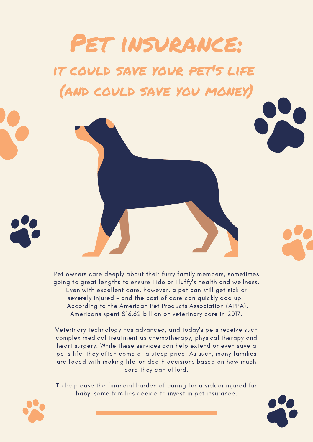# Pet insurance: it could save your pet's life

(and could save you money)

Pet owners care deeply about their furry family members, sometimes going to great lengths to ensure Fido or Fluffy's health and wellness. Even with excellent care, however, a pet can still get sick or severely injured - and the cost of care can quickly add up. According to the American Pet Products Association (APPA), Americans spent \$16.62 billion on veterinary care in 2017.

Veterinary technology has advanced, and today's pets receive such complex medical treatment as chemotherapy, physical therapy and heart surgery. While these services can help extend or even save a pet's life, they often come at a steep price. As such, many families are faced with making life-or-death decisions based on how much care they can afford.

To help ease the financial burden of caring for a sick or injured fur baby, some families decide to invest in pet insurance.



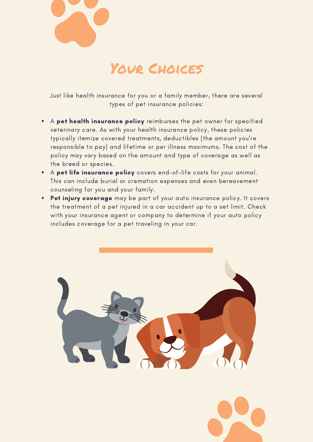

### Your Choices

Just like health insurance for you or a family member, there are several types of pet insurance policies:

- A pet health insurance policy reimburses the pet owner for specified veterinary care. As with your health insurance policy, these policies typically itemize covered treatments, deductibles (the amount you're responsible to pay) and lifetime or per illness maximums. The cost of the policy may vary based on the amount and type of coverage as well as the breed or species.
- A pet life insurance policy covers end-of-life costs for your animal. This can include burial or cremation expenses and even bereavement counseling for you and your family.
- Pet injury coverage may be part of your auto insurance policy. It covers the treatment of a pet injured in a car accident up to a set limit. Check with your insurance agent or company to determine if your auto policy includes coverage for a pet traveling in your car.



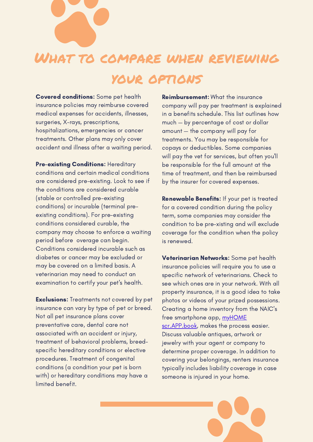

## What to compare when reviewing

#### your options

Covered conditions: Some pet health insurance policies may reimburse covered medical expenses for accidents, illnesses, surgeries, X-rays, prescriptions, hospitalizations, emergencies or cancer treatments. Other plans may only cover accident and illness after a waiting period.

Pre-existing Conditions: Hereditary conditions and certain medical conditions are considered pre-existing. Look to see if the conditions are considered curable (stable or controlled pre-existing conditions) or incurable (terminal preexisting conditions). For pre-existing conditions considered curable, the company may choose to enforce a waiting period before overage can begin. Conditions considered incurable such as diabetes or cancer may be excluded or may be covered on a limited basis. A veterinarian may need to conduct an examination to certify your pet's health.

**Exclusions:** Treatments not covered by pet insurance can vary by type of pet or breed. Not all pet insurance plans cover preventative care, dental care not associated with an accident or injury, treatment of behavioral problems, breedspecific hereditary conditions or elective procedures. Treatment of congenital conditions (a condition your pet is born with) or hereditary conditions may have a limited benefit.

Reimbursement: What the insurance company will pay per treatment is explained in a benefits schedule. This list outlines how much — by percentage of cost or dollar amount — the company will pay for treatments. You may be responsible for copays or deductibles. Some companies will pay the vet for services, but often you'll be responsible for the full amount at the time of treatment, and then be reimbursed by the insurer for covered expenses.

Renewable Benefits: If your pet is treated for a covered condition during the policy term, some companies may consider the condition to be pre-xisting and will exclude coverage for the condition when the policy is renewed.

Veterinarian Networks: Some pet health insurance policies will require you to use a specific network of veterinarians. Check to see which ones are in your network. With all property insurance, it is a good idea to take photos or videos of your prized possessions. Creating a home inventory from the NAIC's free smartphone app, myHOME [scr.APP.book,](https://apps.apple.com/us/app/myhome-scr-app-book/id414273863) makes the process easier. Discuss valuable antiques, artwork or jewelry with your agent or company to determine proper coverage. In addition to covering your belongings, renters insurance typically includes liability coverage in case someone is injured in your home.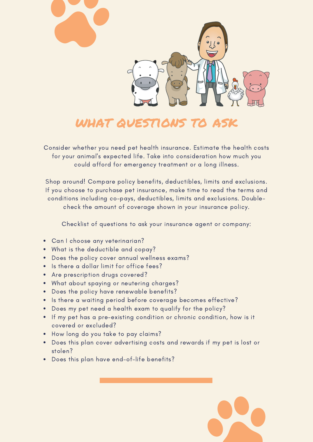

#### WHAT QUESTIONS TO

Consider whether you need pet health insurance. Estimate the health costs for your animal's expected life. Take into consideration how much you could afford for emergency treatment or a long illness.

Shop around! Compare policy benefits, deductibles, limits and exclusions. If you choose to purchase pet insurance, make time to read the terms and conditions including co-pays, deductibles, limits and exclusions. Doublecheck the amount of coverage shown in your insurance policy.

Checklist of questions to ask your insurance agent or company:

- Can I choose any veterinarian?
- What is the deductible and copay?
- Does the policy cover annual wellness exams?
- Is there a dollar limit for office fees?
- Are prescription drugs covered?
- What about spaying or neutering charges?
- Does the policy have renewable benefits?
- Is there a waiting period before coverage becomes effective?
- Does my pet need a health exam to qualify for the policy?
- If my pet has a pre-existing condition or chronic condition, how is it covered or excluded?
- How long do you take to pay claims?
- Does this plan cover advertising costs and rewards if my pet is lost or stolen?
- Does this plan have end-of-life benefits?